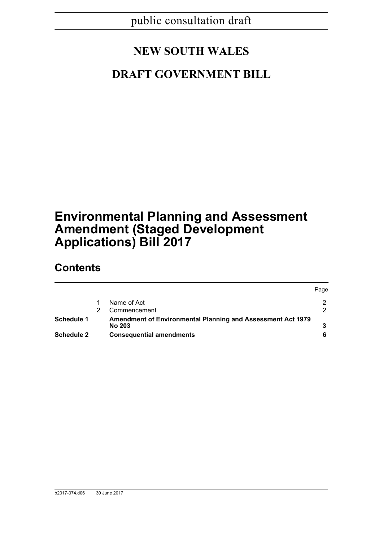# **NEW SOUTH WALES**

# **DRAFT GOVERNMENT BILL**

# **Environmental Planning and Assessment Amendment (Staged Development Applications) Bill 2017**

# **Contents**

|                   |                                                             | Page |
|-------------------|-------------------------------------------------------------|------|
|                   | Name of Act                                                 |      |
|                   | Commencement                                                | 2    |
| Schedule 1        | Amendment of Environmental Planning and Assessment Act 1979 |      |
|                   | No 203                                                      |      |
| <b>Schedule 2</b> | <b>Consequential amendments</b>                             |      |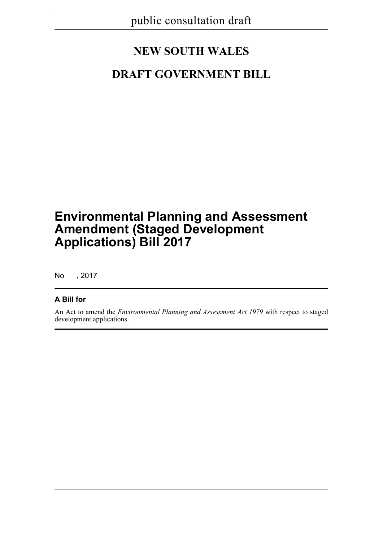# **NEW SOUTH WALES**

# **DRAFT GOVERNMENT BILL**

# **Environmental Planning and Assessment Amendment (Staged Development Applications) Bill 2017**

No , 2017

# **A Bill for**

An Act to amend the *Environmental Planning and Assessment Act 1979* with respect to staged development applications.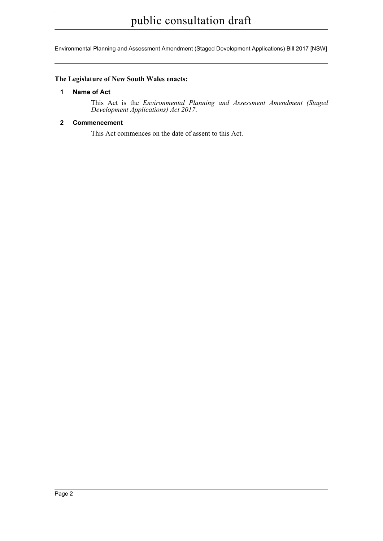# public consultation draft

Environmental Planning and Assessment Amendment (Staged Development Applications) Bill 2017 [NSW]

# <span id="page-2-0"></span>**The Legislature of New South Wales enacts:**

## **1 Name of Act**

This Act is the *Environmental Planning and Assessment Amendment (Staged Development Applications) Act 2017*.

## <span id="page-2-1"></span>**2 Commencement**

This Act commences on the date of assent to this Act.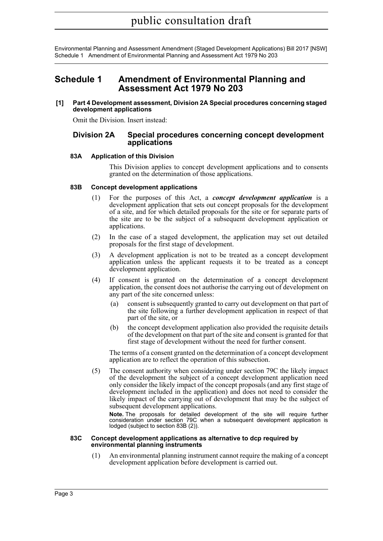Environmental Planning and Assessment Amendment (Staged Development Applications) Bill 2017 [NSW] Schedule 1 Amendment of Environmental Planning and Assessment Act 1979 No 203

# <span id="page-3-0"></span>**Schedule 1 Amendment of Environmental Planning and Assessment Act 1979 No 203**

**[1] Part 4 Development assessment, Division 2A Special procedures concerning staged development applications**

Omit the Division. Insert instead:

## **Division 2A Special procedures concerning concept development applications**

## **83A Application of this Division**

This Division applies to concept development applications and to consents granted on the determination of those applications.

## **83B Concept development applications**

- (1) For the purposes of this Act, a *concept development application* is a development application that sets out concept proposals for the development of a site, and for which detailed proposals for the site or for separate parts of the site are to be the subject of a subsequent development application or applications.
- (2) In the case of a staged development, the application may set out detailed proposals for the first stage of development.
- (3) A development application is not to be treated as a concept development application unless the applicant requests it to be treated as a concept development application.
- (4) If consent is granted on the determination of a concept development application, the consent does not authorise the carrying out of development on any part of the site concerned unless:
	- (a) consent is subsequently granted to carry out development on that part of the site following a further development application in respect of that part of the site, or
	- (b) the concept development application also provided the requisite details of the development on that part of the site and consent is granted for that first stage of development without the need for further consent.

The terms of a consent granted on the determination of a concept development application are to reflect the operation of this subsection.

(5) The consent authority when considering under section 79C the likely impact of the development the subject of a concept development application need only consider the likely impact of the concept proposals (and any first stage of development included in the application) and does not need to consider the likely impact of the carrying out of development that may be the subject of subsequent development applications.

**Note.** The proposals for detailed development of the site will require further consideration under section 79C when a subsequent development application is lodged (subject to section 83B (2)).

#### **83C Concept development applications as alternative to dcp required by environmental planning instruments**

(1) An environmental planning instrument cannot require the making of a concept development application before development is carried out.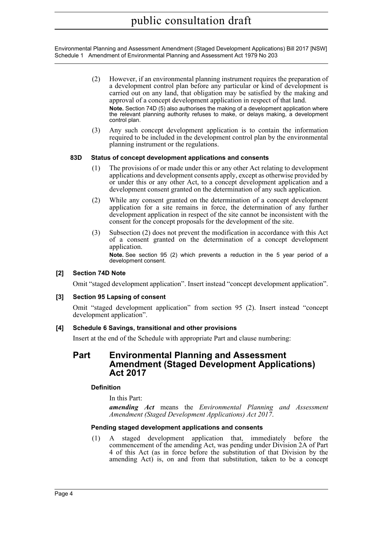Environmental Planning and Assessment Amendment (Staged Development Applications) Bill 2017 [NSW] Schedule 1 Amendment of Environmental Planning and Assessment Act 1979 No 203

- (2) However, if an environmental planning instrument requires the preparation of a development control plan before any particular or kind of development is carried out on any land, that obligation may be satisfied by the making and approval of a concept development application in respect of that land. **Note.** Section 74D (5) also authorises the making of a development application where the relevant planning authority refuses to make, or delays making, a development control plan.
- (3) Any such concept development application is to contain the information required to be included in the development control plan by the environmental planning instrument or the regulations.

## **83D Status of concept development applications and consents**

- (1) The provisions of or made under this or any other Act relating to development applications and development consents apply, except as otherwise provided by or under this or any other Act, to a concept development application and a development consent granted on the determination of any such application.
- (2) While any consent granted on the determination of a concept development application for a site remains in force, the determination of any further development application in respect of the site cannot be inconsistent with the consent for the concept proposals for the development of the site.
- (3) Subsection (2) does not prevent the modification in accordance with this Act of a consent granted on the determination of a concept development application.

**Note.** See section 95 (2) which prevents a reduction in the 5 year period of a development consent.

## **[2] Section 74D Note**

Omit "staged development application". Insert instead "concept development application".

## **[3] Section 95 Lapsing of consent**

Omit "staged development application" from section 95 (2). Insert instead "concept development application".

## **[4] Schedule 6 Savings, transitional and other provisions**

Insert at the end of the Schedule with appropriate Part and clause numbering:

# **Part Environmental Planning and Assessment Amendment (Staged Development Applications) Act 2017**

## **Definition**

In this Part:

*amending Act* means the *Environmental Planning and Assessment Amendment (Staged Development Applications) Act 2017*.

## **Pending staged development applications and consents**

(1) A staged development application that, immediately before the commencement of the amending Act, was pending under Division 2A of Part 4 of this Act (as in force before the substitution of that Division by the amending Act) is, on and from that substitution, taken to be a concept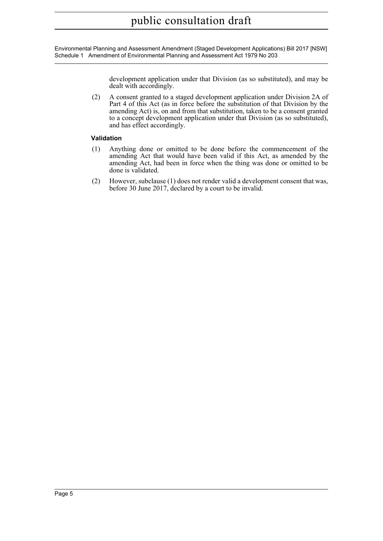Environmental Planning and Assessment Amendment (Staged Development Applications) Bill 2017 [NSW] Schedule 1 Amendment of Environmental Planning and Assessment Act 1979 No 203

> development application under that Division (as so substituted), and may be dealt with accordingly.

(2) A consent granted to a staged development application under Division 2A of Part 4 of this Act (as in force before the substitution of that Division by the amending Act) is, on and from that substitution, taken to be a consent granted to a concept development application under that Division (as so substituted), and has effect accordingly.

## **Validation**

- (1) Anything done or omitted to be done before the commencement of the amending Act that would have been valid if this Act, as amended by the amending Act, had been in force when the thing was done or omitted to be done is validated.
- (2) However, subclause (1) does not render valid a development consent that was, before 30 June 2017, declared by a court to be invalid.